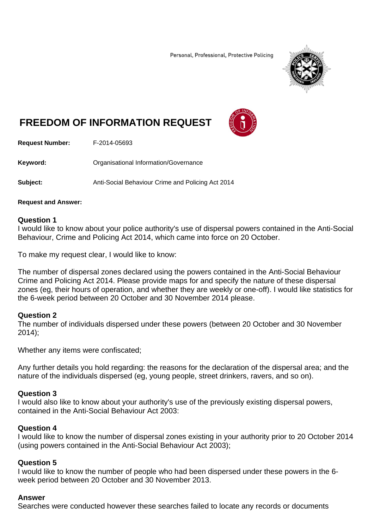Personal, Professional, Protective Policing



# **FREEDOM OF INFORMATION REQUEST**



**Request Number:** F-2014-05693

**Keyword: C**rganisational Information/Governance

**Subject:** Anti-Social Behaviour Crime and Policing Act 2014

#### **Request and Answer:**

#### **Question 1**

I would like to know about your police authority's use of dispersal powers contained in the Anti-Social Behaviour, Crime and Policing Act 2014, which came into force on 20 October.

To make my request clear, I would like to know:

The number of dispersal zones declared using the powers contained in the Anti-Social Behaviour Crime and Policing Act 2014. Please provide maps for and specify the nature of these dispersal zones (eg, their hours of operation, and whether they are weekly or one-off). I would like statistics for the 6-week period between 20 October and 30 November 2014 please.

## **Question 2**

The number of individuals dispersed under these powers (between 20 October and 30 November 2014);

Whether any items were confiscated;

Any further details you hold regarding: the reasons for the declaration of the dispersal area; and the nature of the individuals dispersed (eg, young people, street drinkers, ravers, and so on).

## **Question 3**

I would also like to know about your authority's use of the previously existing dispersal powers, contained in the Anti-Social Behaviour Act 2003:

## **Question 4**

I would like to know the number of dispersal zones existing in your authority prior to 20 October 2014 (using powers contained in the Anti-Social Behaviour Act 2003);

## **Question 5**

I would like to know the number of people who had been dispersed under these powers in the 6 week period between 20 October and 30 November 2013.

#### **Answer**

Searches were conducted however these searches failed to locate any records or documents